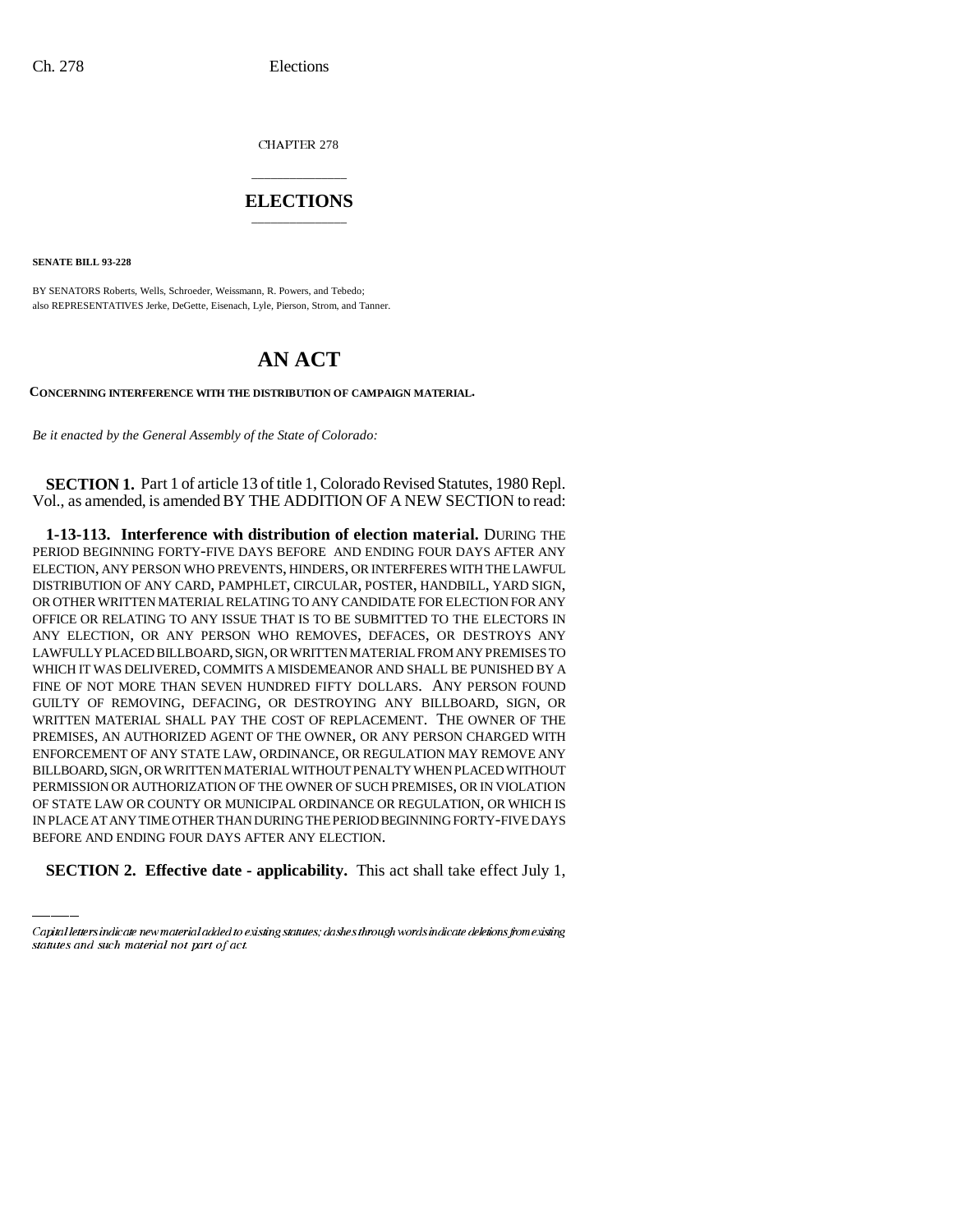CHAPTER 278

## \_\_\_\_\_\_\_\_\_\_\_\_\_\_\_ **ELECTIONS** \_\_\_\_\_\_\_\_\_\_\_\_\_\_\_

**SENATE BILL 93-228**

BY SENATORS Roberts, Wells, Schroeder, Weissmann, R. Powers, and Tebedo; also REPRESENTATIVES Jerke, DeGette, Eisenach, Lyle, Pierson, Strom, and Tanner.

## **AN ACT**

**CONCERNING INTERFERENCE WITH THE DISTRIBUTION OF CAMPAIGN MATERIAL.**

*Be it enacted by the General Assembly of the State of Colorado:*

**SECTION 1.** Part 1 of article 13 of title 1, Colorado Revised Statutes, 1980 Repl. Vol., as amended, is amended BY THE ADDITION OF A NEW SECTION to read:

OF STATE LAW OR COUNTY OR MUNICIPAL ORDINANCE OR REGULATION, OR WHICH IS **1-13-113. Interference with distribution of election material.** DURING THE PERIOD BEGINNING FORTY-FIVE DAYS BEFORE AND ENDING FOUR DAYS AFTER ANY ELECTION, ANY PERSON WHO PREVENTS, HINDERS, OR INTERFERES WITH THE LAWFUL DISTRIBUTION OF ANY CARD, PAMPHLET, CIRCULAR, POSTER, HANDBILL, YARD SIGN, OR OTHER WRITTEN MATERIAL RELATING TO ANY CANDIDATE FOR ELECTION FOR ANY OFFICE OR RELATING TO ANY ISSUE THAT IS TO BE SUBMITTED TO THE ELECTORS IN ANY ELECTION, OR ANY PERSON WHO REMOVES, DEFACES, OR DESTROYS ANY LAWFULLY PLACED BILLBOARD, SIGN, OR WRITTEN MATERIAL FROM ANY PREMISES TO WHICH IT WAS DELIVERED, COMMITS A MISDEMEANOR AND SHALL BE PUNISHED BY A FINE OF NOT MORE THAN SEVEN HUNDRED FIFTY DOLLARS. ANY PERSON FOUND GUILTY OF REMOVING, DEFACING, OR DESTROYING ANY BILLBOARD, SIGN, OR WRITTEN MATERIAL SHALL PAY THE COST OF REPLACEMENT. THE OWNER OF THE PREMISES, AN AUTHORIZED AGENT OF THE OWNER, OR ANY PERSON CHARGED WITH ENFORCEMENT OF ANY STATE LAW, ORDINANCE, OR REGULATION MAY REMOVE ANY BILLBOARD, SIGN, OR WRITTEN MATERIAL WITHOUT PENALTY WHEN PLACED WITHOUT PERMISSION OR AUTHORIZATION OF THE OWNER OF SUCH PREMISES, OR IN VIOLATION IN PLACE AT ANY TIME OTHER THAN DURING THE PERIOD BEGINNING FORTY-FIVE DAYS BEFORE AND ENDING FOUR DAYS AFTER ANY ELECTION.

**SECTION 2. Effective date - applicability.** This act shall take effect July 1,

Capital letters indicate new material added to existing statutes; dashes through words indicate deletions from existing statutes and such material not part of act.